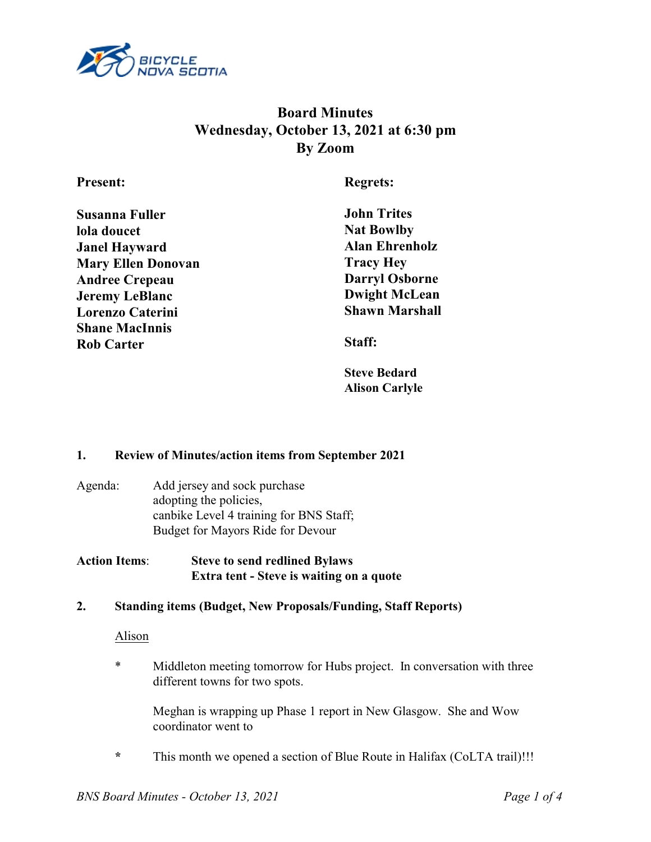

# **Board Minutes Wednesday, October 13, 2021 at 6:30 pm By Zoom**

### **Present:**

**Regrets:**

| Susanna Fuller            |  |
|---------------------------|--|
| lola doucet               |  |
| Janel Hayward             |  |
| <b>Mary Ellen Donovan</b> |  |
| <b>Andree Crepeau</b>     |  |
| <b>Jeremy LeBlanc</b>     |  |
| <b>Lorenzo Caterini</b>   |  |
| <b>Shane MacInnis</b>     |  |
| <b>Rob Carter</b>         |  |
|                           |  |

**John Trites Nat Bowlby Alan Ehrenholz Tracy Hey Darryl Osborne Dwight McLean Shawn Marshall**

**Staff:**

**Steve Bedard Alison Carlyle**

### **1. Review of Minutes/action items from September 2021**

- Agenda: Add jersey and sock purchase adopting the policies, canbike Level 4 training for BNS Staff; Budget for Mayors Ride for Devour
- **Action Items**: **Steve to send redlined Bylaws Extra tent - Steve is waiting on a quote**

### **2. Standing items (Budget, New Proposals/Funding, Staff Reports)**

#### Alison

\* Middleton meeting tomorrow for Hubs project. In conversation with three different towns for two spots.

Meghan is wrapping up Phase 1 report in New Glasgow. She and Wow coordinator went to

**\*** This month we opened a section of Blue Route in Halifax (CoLTA trail)!!!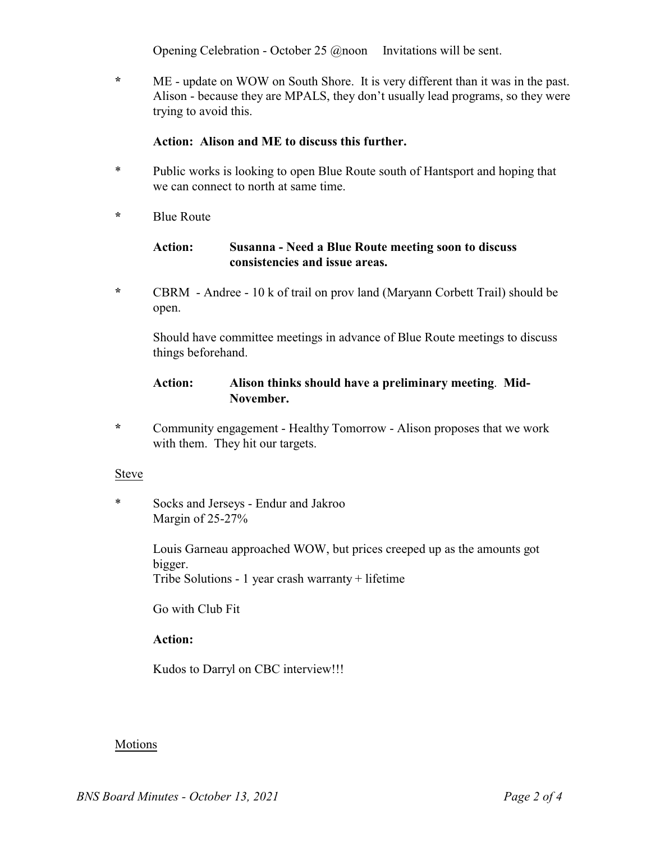Opening Celebration - October 25 @noon Invitations will be sent.

**\*** ME - update on WOW on South Shore. It is very different than it was in the past. Alison - because they are MPALS, they don't usually lead programs, so they were trying to avoid this.

#### **Action: Alison and ME to discuss this further.**

- \* Public works is looking to open Blue Route south of Hantsport and hoping that we can connect to north at same time.
- **\*** Blue Route

### **Action: Susanna - Need a Blue Route meeting soon to discuss consistencies and issue areas.**

**\*** CBRM - Andree - 10 k of trail on prov land (Maryann Corbett Trail) should be open.

Should have committee meetings in advance of Blue Route meetings to discuss things beforehand.

### **Action: Alison thinks should have a preliminary meeting**. **Mid-November.**

**\*** Community engagement - Healthy Tomorrow - Alison proposes that we work with them. They hit our targets.

#### Steve

\* Socks and Jerseys - Endur and Jakroo Margin of 25-27%

> Louis Garneau approached WOW, but prices creeped up as the amounts got bigger. Tribe Solutions - 1 year crash warranty + lifetime

Go with Club Fit

### **Action:**

Kudos to Darryl on CBC interview!!!

### Motions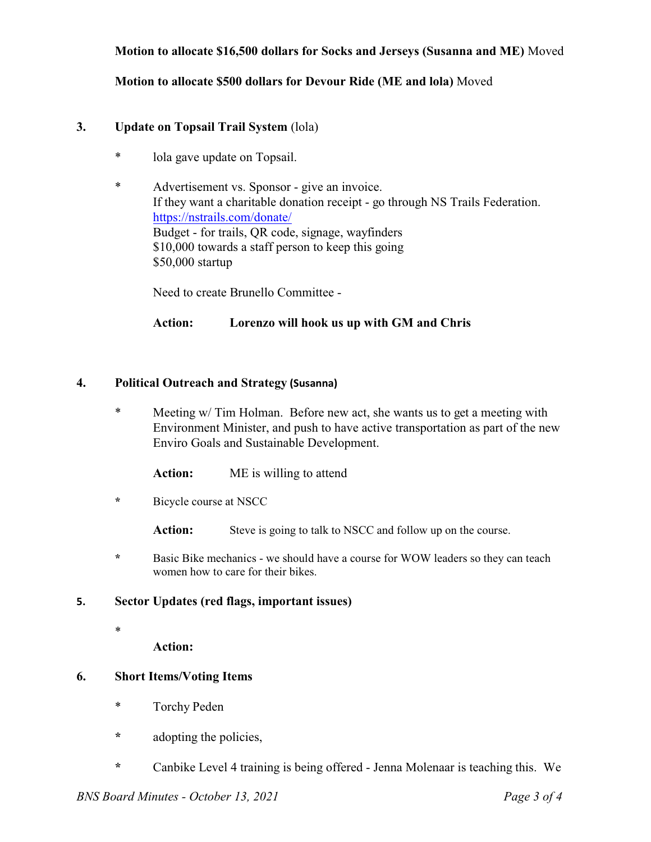### **Motion to allocate \$16,500 dollars for Socks and Jerseys (Susanna and ME)** Moved

#### **Motion to allocate \$500 dollars for Devour Ride (ME and lola)** Moved

#### **3. Update on Topsail Trail System** (lola)

- \* lola gave update on Topsail.
- \* Advertisement vs. Sponsor give an invoice. If they want a charitable donation receipt - go through NS Trails Federation. https://nstrails.com/donate/ Budget - for trails, QR code, signage, wayfinders \$10,000 towards a staff person to keep this going \$50,000 startup

Need to create Brunello Committee -

#### **Action: Lorenzo will hook us up with GM and Chris**

#### **4. Political Outreach and Strategy (Susanna)**

\* Meeting w/ Tim Holman. Before new act, she wants us to get a meeting with Environment Minister, and push to have active transportation as part of the new Enviro Goals and Sustainable Development.

**Action:** ME is willing to attend

**\*** Bicycle course at NSCC

Action: Steve is going to talk to NSCC and follow up on the course.

**\*** Basic Bike mechanics - we should have a course for WOW leaders so they can teach women how to care for their bikes.

#### **5. Sector Updates (red flags, important issues)**

\*

**Action:**

#### **6. Short Items/Voting Items**

- \* Torchy Peden
- **\*** adopting the policies,
- **\*** Canbike Level 4 training is being offered Jenna Molenaar is teaching this. We